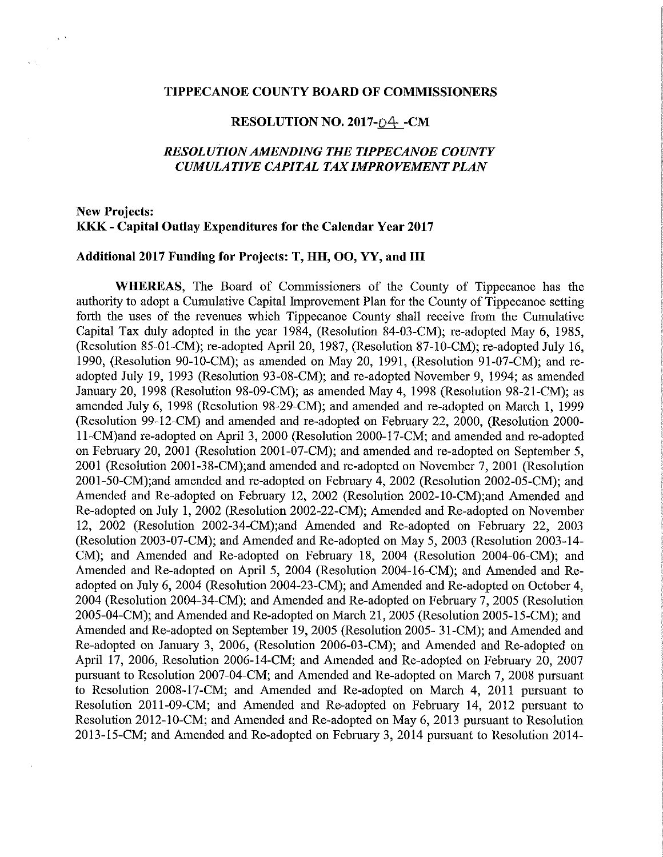#### TIPPECANOE COUNTY BOARD OF COMMISSIONERS

### RESOLUTION NO. 2017-04 -CM

## RES0LUTI0NAMENDING THE TIPPECANOE COUNTY CUMULATIVE CAPITAL TAX IMPROVEMENT PLAN

# New Projects: KKK - Capital Outlay Expenditures for the Calendar Year 2017

 $\sim$ 

### Additional 2017 Funding for Projects: T, HH, OO, YY, and III

WHEREAS, The Board of Commissioners of the County of Tippecanoe has the authority to adopt <sup>a</sup> Cumulative Capital Improvement Plan for the County of Tippecanoe setting forth the uses of the revenues which Tippecanoe County shall receive from the Cumulative Capital Tax duly adopted in the year 1984, (Resolution 84-03-CM); re-adopted May 6, 1985, (Resolution 85—01—CM); re—adopted April 20, 1987, (Resolution 87—10—CM); re—adopted July 16, 1990, (Resolution 90-10~CM); as amended on May 20, 1991, (Resolution 91-07-CM); and readopted July 19, 1993 (Resolution 93—08—CM); and re-adopted November 9, 1994; as amended January 20,<sup>1998</sup> (Resolution 98-09-CM); as amended May 4, <sup>1998</sup> (Resolution 98—21-CM); as amended July 6, 1998 (Resolution 98—29—CM); and amended and re-adopted on March 1, <sup>1999</sup> (Resolution 99-12-CM) and amended and re-adopted on February 22, 2000, (Resolution 2000ll—CM)and re-adopted on April 3, <sup>2000</sup> (Resolution 2000—l7—CM; and amended and re—adopted on February 20, 2001 (Resolution 2001-07-CM); and amended and re-adopted on September 5, 2001 (Resolution 2001-38-CM);and amended and re-adopted on November 7, 2001 (Resolution 2001-50—CM);and amended and re-adopted on February 4, <sup>2002</sup> (Resolution 2002-05-CM); and Amended and Re-adopted on February 12, 2002 (Resolution 2002-10-CM);and Amended and Re-adopted on July 1, 2002 (Resolution 2002—22—CM); Amended and Re—adopted on November 12, <sup>2002</sup> (Resolution 2002—34—CM);and Amended and Re—adopted on February 22, <sup>2003</sup> (Resolution 2003—07—CM); and Amended and Re—adopted on May 5, <sup>2003</sup> (Resolution 2003-14— CM); and Amended and Re~adopted on February 18, 2004 (Resolution 2004—06—CM); and Amended and Re-adopted on April 5, 2004 (Resolution 2004-16-CM); and Amended and Readopted on July 6, 2004 (Resolution 2004—23~CM); and Amended and Re-adopted on October 4, 2004 (Resolution 2004—34—CM); and Amended and Re—adopted on February 7, 2005 (Resolution 2005—04—CM); and Amended and Re-adOpted on March 21, 2005 (Resolution 2005—15-CM); and Amended and Re-adopted on September 19, 2005 (Resolution 2005- 31-CM); and Amended and Re—adopted on January 3, 2006, (Resolution 2006-03—CM); and Amended and Re—adopted on April 17, 2006, Resolution 2006-14-CM; and Amended and Re-adopted on February 20, 2007 pursuant to Resolution 2007—04—CM; and Amended and Re-adopted on March 7, 2008 pursuant to Resolution 2008—17-CM; and Amended and Re-adopted on March 4, 2011 pursuant to Resolution 2011-09-CM; and Amended and Re~adopted on February 14, 2012 pursuant to Resolution 2012-10-CM; and Amended and Re-adopted on May 6, 2013 pursuant to Resolution 2013-15—CM; and Amended and Re-adopted on February 3, 2014 pursuant to Resolution 2014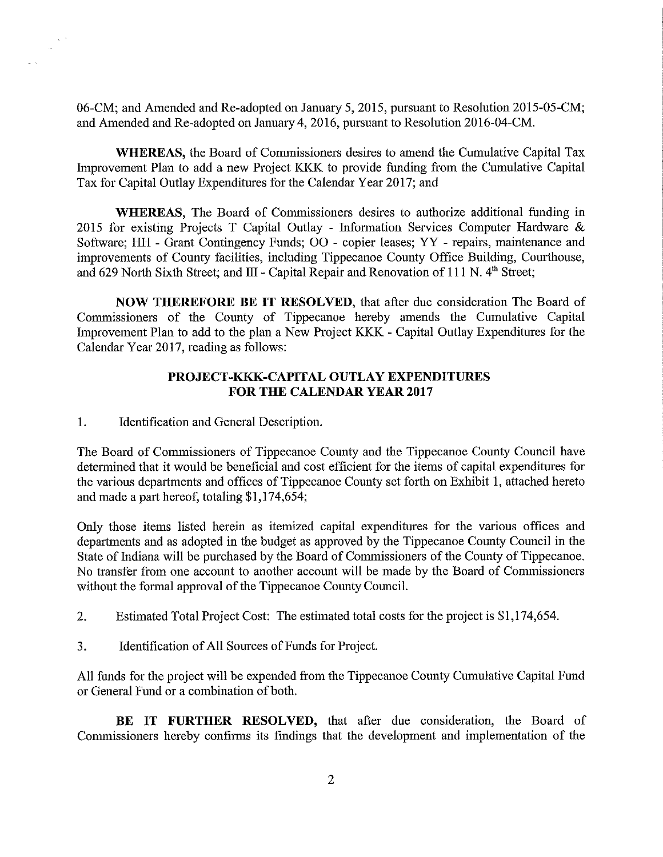06—CM; and Amended and Re-adopted on January 5, 2015, pursuant to Resolution 2015-05-CM; and Amended and Re~adopted on January 4, 2016, pursuant to Resolution 2016—04—CM.

WHEREAS, the Board of Commissioners desires to amend the Cumulative Capital Tax Improvement Plan to add <sup>a</sup> new Project KKK to provide funding from the Cumulative Capital Tax for Capital Outlay Expenditures for the Calendar Year 2017; and

WHEREAS, The Board of Commissioners desires to authorize additional funding in 2015 for existing Projects T Capital Outlay - Information Services Computer Hardware & Software; HH - Grant Contingency Funds; 00 - copier leases; YY - repairs, maintenance and improvements of County facilities, including Tippecanoe County Office Building, Courthouse, and 629 North Sixth Street; and  $III$  - Capital Repair and Renovation of 111 N. 4<sup>th</sup> Street;

NOW THEREFORE BE IT RESOLVED, that after due consideration The Board of Commissioners of the County of Tippecanoe hereby amends the Cumulative Capital Improvement Plan to add to the plan a New Project KKK - Capital Outlay Expenditures for the Calendar Year 2017, reading as follows:

## PROJECT—KKK—CAPITAL OUTLAY EXPENDITURES FOR THE CALENDAR YEAR 2017

1. Identification and General Description.

 $\propto$   $^{-1}$ 

The Board of Commissioners of Tippecanoe County and the Tippecanoe County Council have determined that it would be beneficial and cost efficient for the items of capital expenditures for the various departments and offices of Tippecanoe County set forth on Exhibit 1, attached hereto and made <sup>a</sup> part hereof, totaling \$1,174,654;

Only those items listed herein as itemized capital expenditures for the various offices and departments and as adopted in the budget as approved by the Tippecanoe County Council in the State of Indiana will be purchased by the Board of Commissioners of the County of Tippecanoe. No transfer from one account to another account will be made by the Board of Commissioners without the formal approval of the Tippecanoe County Council.

- 2. Estimated Total Project Cost: The estimated total costs for the project is \$1,174,654.
- 3. Identification of All Sources of Funds for Project.

All funds for the project will be expended from the Tippecanoe County Cumulative Capital Fund or General Fund or a combination of both.

BE IT FURTHER RESOLVED, that after due consideration, the Board of Commissioners hereby confirms its findings that the development and implementation of the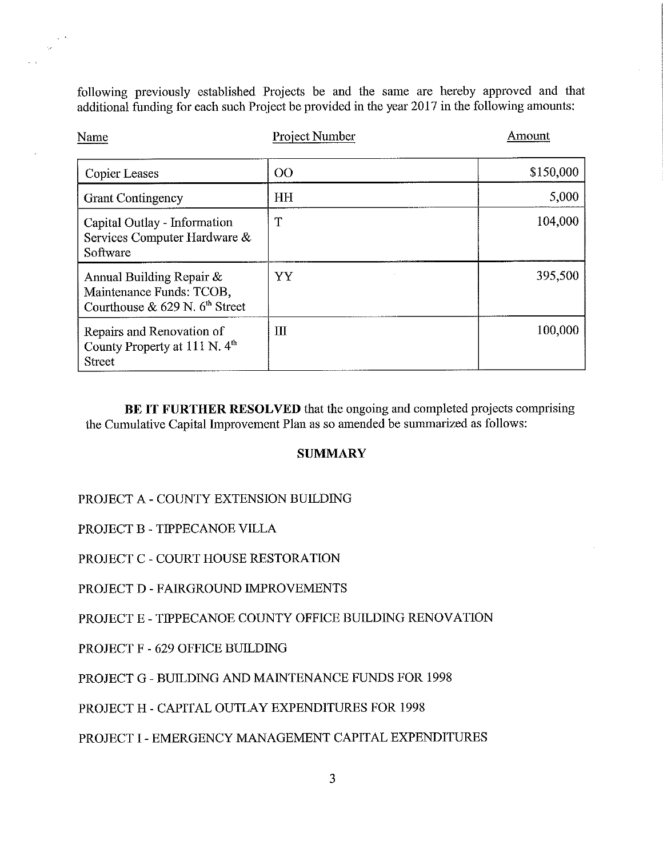following previously established Projects be and the same are hereby approved and that additional finding foreach such Project be provided in the year 2017 in the following amounts:

| Name                                                                                        | <b>Project Number</b> | Amount    |  |
|---------------------------------------------------------------------------------------------|-----------------------|-----------|--|
| <b>Copier Leases</b>                                                                        | O <sub>O</sub>        | \$150,000 |  |
| <b>Grant Contingency</b>                                                                    | HH                    | 5,000     |  |
| Capital Outlay - Information<br>Services Computer Hardware &<br>Software                    | T                     | 104,000   |  |
| Annual Building Repair $\&$<br>Maintenance Funds: TCOB,<br>Courthouse & 629 N. $6th$ Street | YY                    | 395,500   |  |
| Repairs and Renovation of<br>County Property at 111 N. 4 <sup>th</sup><br><b>Street</b>     | Ш                     | 100,000   |  |

BE IT FURTHER RESOLVED that the ongoing and completed projects comprising the Cumulative Capital Improvement Plan as so amended be summarized as follows:

# **SUMMARY**

PROJECT A - COUNTY EXTENSION BUILDING

PROJECT B — TIPPECANOE VILLA

 $\sim$  $\Delta\omega$ 

 $\sim$ 

 $\ddot{\phantom{a}}$ 

PROJECT C - COURT HOUSE RESTORATION

PROJECT D - FAIRGROUND IMPROVEMENTS

PROJECT E — TIPPECANOE COUNTY OFFICE BUILDING RENOVATION

PROJECT F — 629 OFFICE BUILDING

PROJECT G — BUILDING AND MAINTENANCE FUNDS FOR 1998

PROJECT H - CAPITAL OUTLAY EXPENDITURES FOR 1998

PROJECT I - EMERGENCY MANAGEMENT CAPITAL EXPENDITURES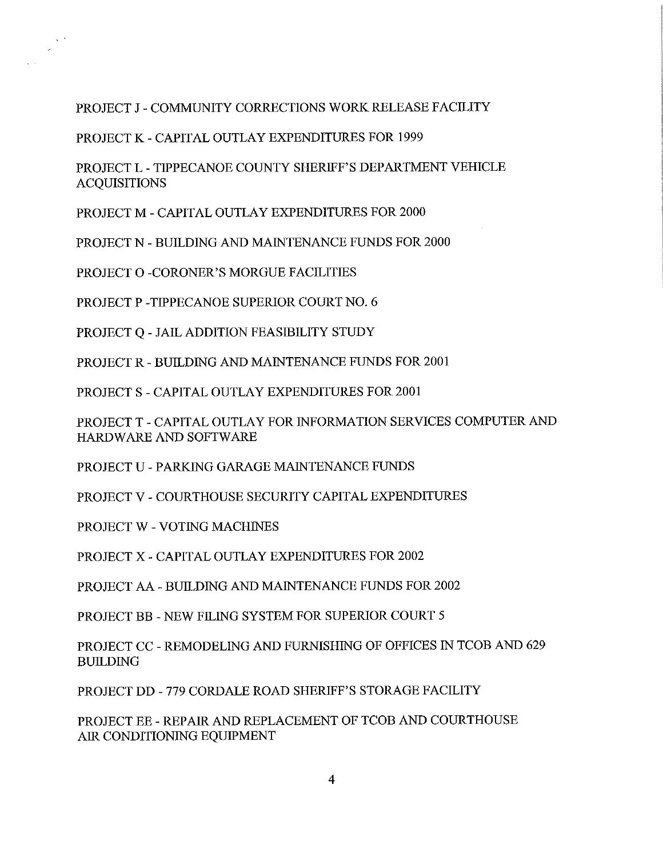## PROJECT J— COMMUNITY CORRECTIONS WORK RELEASE FACILITY

PROJECT K - CAPITAL OUTLAY EXPENDITURES FOR 1999

PROJECT L - TIPPECANOE COUNTY SHERIFF'S DEPARTMENT VEHICLE **ACQUISITIONS** 

PROJECT M - CAPITAL OUTLAY EXPENDITURES FOR 2000

PROJECT N — BUILDING AND MAINTENANCE FUNDS FOR 2000

PROJECT 0 —CORONER'S MORGUE FACILITIES

 $\sim$   $^{\circ}$ 

PROJECT P -TIPPECANOE SUPERIOR COURT NO. 6

PROJECT Q - JAIL ADDITION FEASIBILITY STUDY

PROJECT R - BUILDING AND MAINTENANCE FUNDS FOR 2001

PROJECT S — CAPITAL OUTLAY EXPENDITURES FOR 2001

PROJECT T - CAPITAL OUTLAY FOR INFORMATION SERVICES COMPUTER AND HARDWARE AND SOFTWARE

PROJECT U — PARKING GARAGE MAINTENANCE FUNDS

PROJECT V - COURTHOUSE SECURITY CAPITAL EXPENDITURES

PROJECT W — VOTING MACHINES

PROJECT X - CAPITAL OUTLAY EXPENDITURES FOR 2002

PROJECT AA — BUILDING AND MAINTENANCE FUNDS FOR 2002

PROJECT BB — NEW FILING SYSTEM FOR SUPERIOR COURT 5

PROJECT CC - REMODELING AND FURNISHING OF OFFICES IN TCOB AND 629 BUILDING

PROJECT DD — 779 CORDALE ROAD SHERIFF'S STORAGE FACILITY

PROJECT EE — REPAIR AND REPLACEMENT OF TCOB AND COURTHOUSE AIR CONDITIONING EQUIPMENT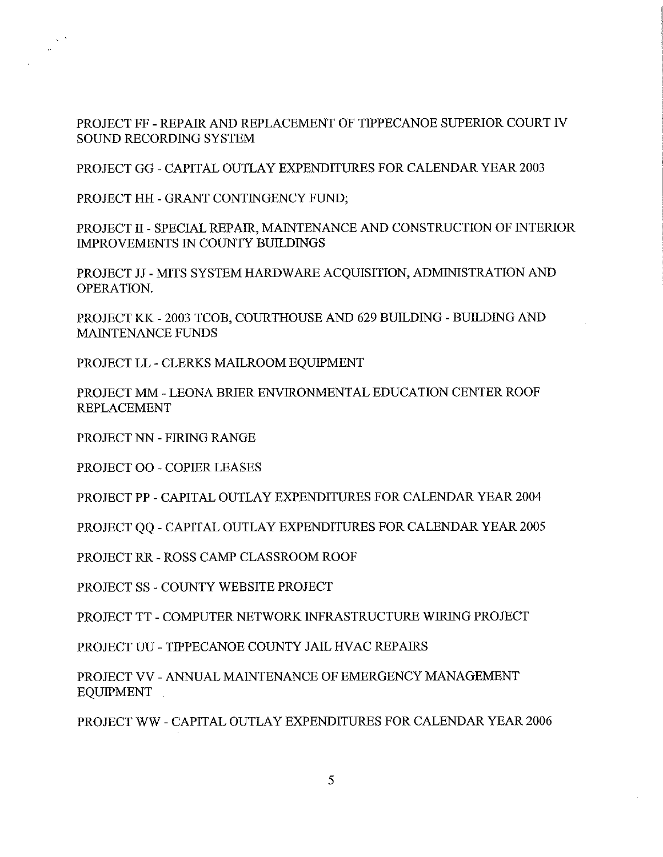PROJECT FF - REPAIR AND REPLACEMENT OF TIPPECANOE SUPERIOR COURT IV SOUND RECORDING SYSTEM

PROJECT GG - CAPITAL OUTLAY EXPENDITURES FOR CALENDAR YEAR 2003

PROJECT HH - GRANT CONTINGENCY FUND;

 $\sim$   $^{-3}$ 

PROJECT II - SPECIAL REPAIR, MAINTENANCE AND CONSTRUCTION OF INTERIOR IMPROVEMENTS IN COUNTY BUILDINGS

PROJECT JJ - MITS SYSTEM HARDWARE ACQUISITION, ADMINISTRATION AND OPERATION.

PROJECT KK - 2003 TCOB, COURTHOUSE AND 629 BUILDING — BUILDING AND MAINTENANCE FUNDS

PROJECT LL - CLERKS MAILROOM EQUIPMENT

PROJECT MM — LEONA BRIER ENVIRONMENTAL EDUCATION CENTER ROOF REPLACEMENT

PROJECT NN — FIRING RANGE

PROJECT OO - COPIER LEASES

PROJECT PP — CAPITAL OUTLAY EXPENDITURES FOR CALENDAR YEAR 2004

PROJECT QQ — CAPITAL OUTLAY EXPENDITURES FOR CALENDAR YEAR 2005

PROJECT RR <sup>~</sup> ROSS CAMP CLASSROOM ROOF

PROJECT SS - COUNTY WEBSITE PROJECT

PROJECT TT - COMPUTER NETWORK INFRASTRUCTURE WIRING PROJECT

PROJECT UU - TIPPECANOE COUNTY JAIL HVAC REPAIRS

PROJECT VV - ANNUAL MAINTENANCE OF EMERGENCY MANAGEMENT **EQUIPMENT** 

PROJECT WW — CAPITAL OUTLAY EXPENDITURES FOR CALENDAR YEAR 2006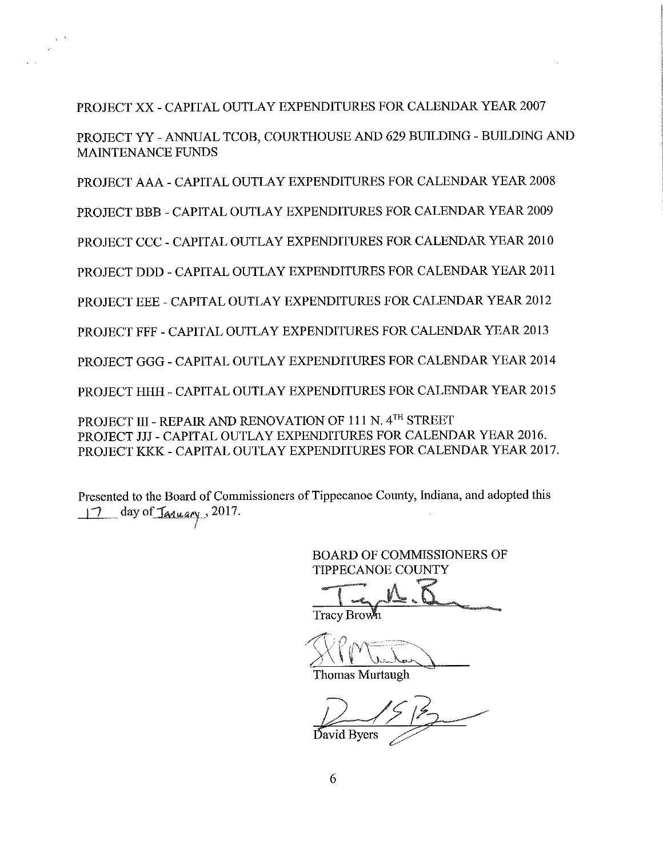## PROJECT XX — CAPITAL OUTLAY EXPENDITURES FOR CALENDAR YEAR 2007

 $\chi$   $^{-1}$ 

PROJECT YY - ANNUAL TCOB, COURTHOUSE AND 629 BUILDING - BUILDING AND MAINTENANCE FUNDS

PROJECT AAA — CAPITAL OUTLAY EXPENDITURES FOR CALENDAR YEAR 2008

PROJECT BBB - CAPITAL OUTLAY EXPENDITURES FOR CALENDAR YEAR 2009

PROJECT CCC - CAPITAL OUTLAY EXPENDITURES FOR CALENDAR YEAR 2010

PROJECT DDD - CAPITAL OUTLAY EXPENDITURES FOR CALENDAR YEAR 2011

PROJECT EEE - CAPITAL OUTLAY EXPENDITURES FOR CALENDAR YEAR 2012

PROJECT FFF - CAPITAL OUTLAY EXPENDITURES FOR CALENDAR YEAR 2013

PROJECT GGG - CAPITAL OUTLAY EXPENDITURES FOR CALENDAR YEAR 2014

PROJECT HHH — CAPITAL OUTLAY EXPENDITURES FOR CALENDAR YEAR 2015

PROJECT III - REPAIR AND RENOVATION OF 111 N. 4TH STREET PROJECT JJJ - CAPITAL OUTLAY EXPENDITURES FOR CALENDAR YEAR 2016. PROJECT KKK - CAPITAL OUTLAY EXPENDITURES FOR CALENDAR YEAR 2017.

Presented to the Board of Commissioners of Tippecanoe County, Indiana, and adopted this  $\frac{17}{10}$  day of <u>January</u>, 2017.

> BOARD OF COMMISSIONERS OF**TIPPECANOE COUNTY**

Tracy Brown

Thomas Murtaugh

David Byers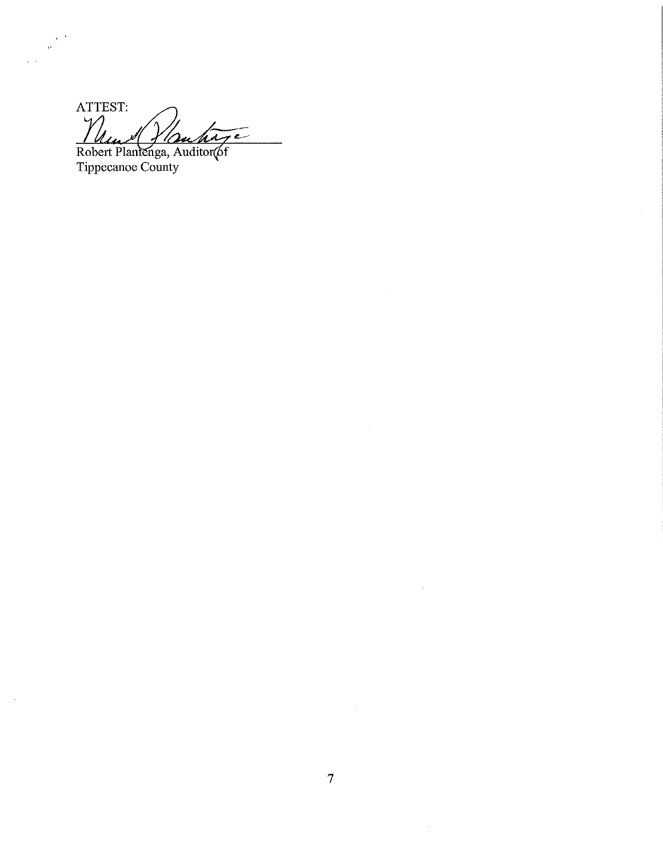ATTEST:  $\gamma$  $\mathcal{A}$  $M_{\rm{max}}$  quenti

Robert Plantenga, Auditor(6f Tippecanoe County

 $\mathbf{v}$ 

 $\sim$